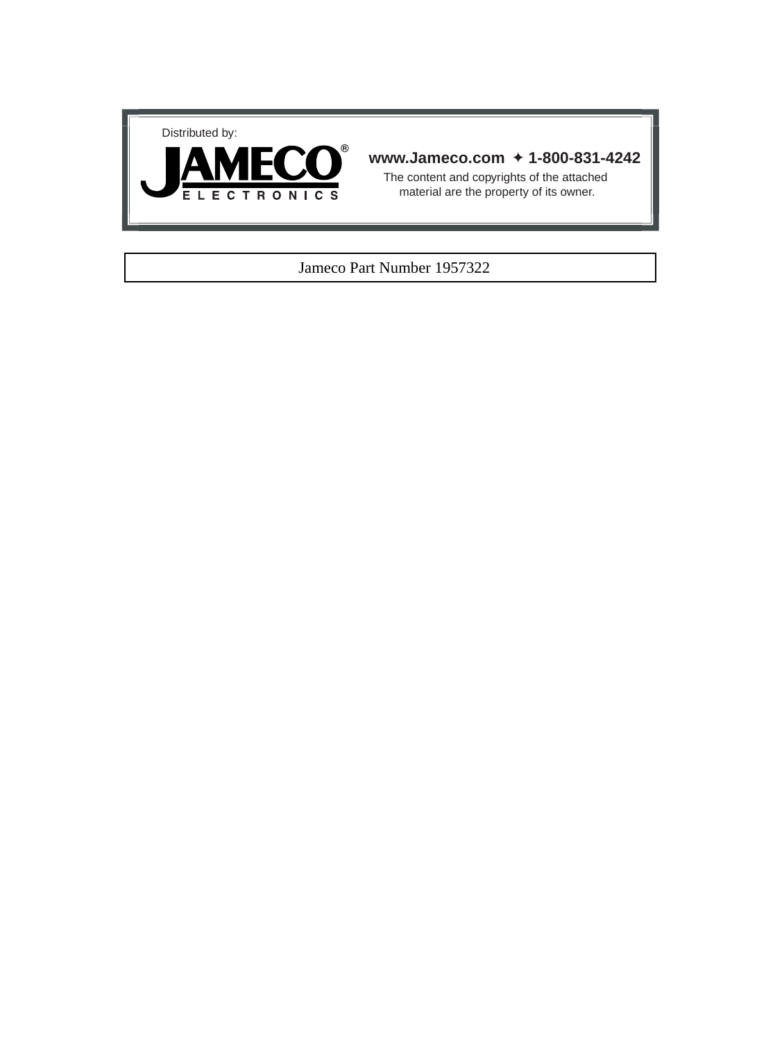



# **www.Jameco.com** ✦ **1-800-831-4242**

The content and copyrights of the attached material are the property of its owner.

## Jameco Part Number 1957322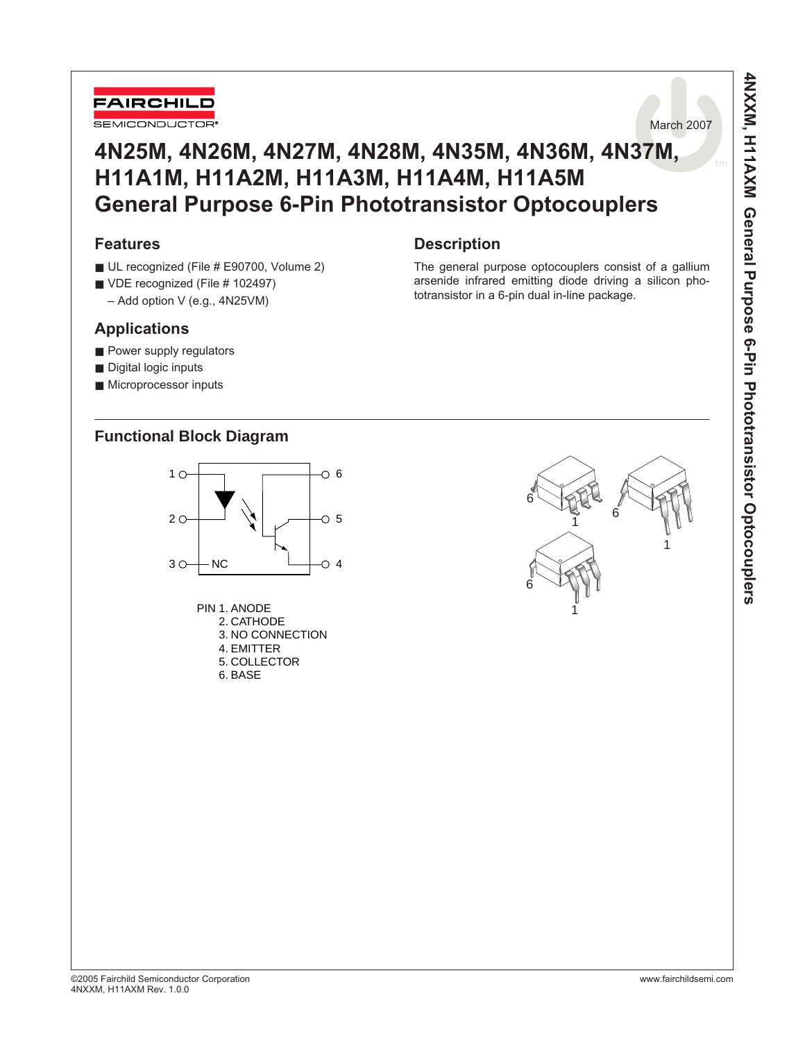



# **4N25M, 4N26M, 4N27M, 4N28M, 4N35M, 4N36M, 4N37M, H11A1M, H11A2M, H11A3M, H11A4M, H11A5M General Purpose 6-Pin Phototransistor Optocouplers**

**Description** 

# **Features**

- UL recognized (File # E90700, Volume 2)
- VDE recognized (File # 102497)
- Add option V (e.g., 4N25VM)

# **Applications**

- Power supply regulators
- Digital logic inputs
- Microprocessor inputs

# **Functional Block Diagram**



| PIN 1. ANODE     |
|------------------|
| 2. CATHODE       |
| 3. NO CONNECTION |
| 4. FMITTFR       |
| 5. COLLECTOR     |
| 6. BASE          |



The general purpose optocouplers consist of a gallium arsenide infrared emitting diode driving a silicon pho-

totransistor in a 6-pin dual in-line package.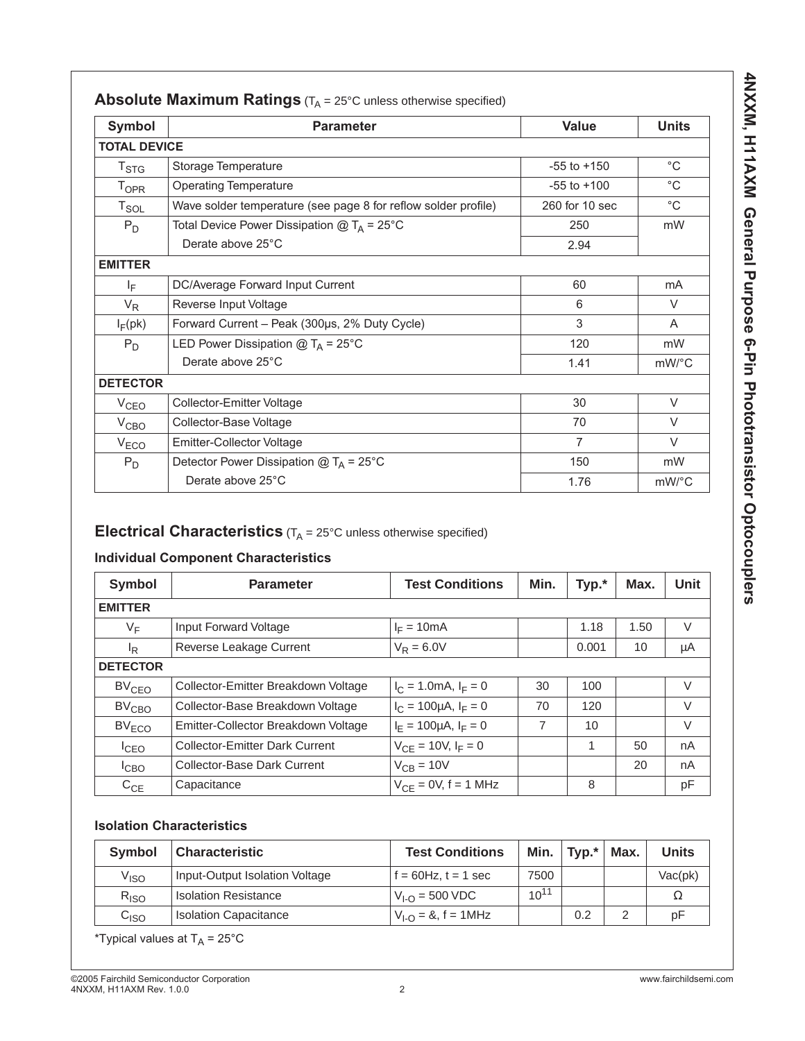| Symbol              | <b>Parameter</b>                                               | Value           | <b>Units</b> |
|---------------------|----------------------------------------------------------------|-----------------|--------------|
| <b>TOTAL DEVICE</b> |                                                                |                 |              |
| $T_{\text{STG}}$    | Storage Temperature                                            | $-55$ to $+150$ | $^{\circ}C$  |
| <b>TOPR</b>         | <b>Operating Temperature</b>                                   | $-55$ to $+100$ | $^{\circ}$ C |
| $T_{\texttt{SOL}}$  | Wave solder temperature (see page 8 for reflow solder profile) | 260 for 10 sec  | $^{\circ}$ C |
| $P_D$               | Total Device Power Dissipation $@T_A = 25°C$                   | 250             | mW           |
|                     | Derate above 25°C                                              | 2.94            |              |
| <b>EMITTER</b>      |                                                                |                 |              |
| IF.                 | DC/Average Forward Input Current                               | 60              | mA           |
| $V_R$               | Reverse Input Voltage                                          | 6               | $\vee$       |
| $I_F$ (pk)          | Forward Current - Peak (300µs, 2% Duty Cycle)                  | 3               | A            |
| $P_D$               | LED Power Dissipation $@T_A = 25°C$                            | 120             | mW           |
|                     | Derate above 25°C                                              | 1.41            | mW/°C        |
| <b>DETECTOR</b>     |                                                                |                 |              |
| V <sub>CEO</sub>    | Collector-Emitter Voltage                                      | 30              | $\vee$       |
| V <sub>CBO</sub>    | Collector-Base Voltage                                         | 70              | $\vee$       |
| V <sub>ECO</sub>    | <b>Emitter-Collector Voltage</b>                               | $\overline{7}$  | $\vee$       |
| $P_D$               | Detector Power Dissipation $@T_A = 25^{\circ}C$                | 150             | mW           |
|                     | Derate above 25°C                                              | 1.76            | mW/°C        |

# **Electrical Characteristics**  $(T_A = 25^\circ C$  unless otherwise specified)

# **Individual Component Characteristics**

| <b>Symbol</b>     | <b>Parameter</b>                      | <b>Test Conditions</b><br>Min. |    | Typ.* | Max. | <b>Unit</b> |
|-------------------|---------------------------------------|--------------------------------|----|-------|------|-------------|
| <b>EMITTER</b>    |                                       |                                |    |       |      |             |
| $V_F$             | Input Forward Voltage                 | $I_F = 10mA$                   |    | 1.18  | 1.50 | $\vee$      |
| <sup>I</sup> R    | Reverse Leakage Current               | $V_R = 6.0V$                   |    | 0.001 | 10   | μA          |
| <b>DETECTOR</b>   |                                       |                                |    |       |      |             |
| BV <sub>CEO</sub> | Collector-Emitter Breakdown Voltage   | $I_C = 1.0 \text{mA}, I_F = 0$ | 30 | 100   |      | $\vee$      |
| BV <sub>CBO</sub> | Collector-Base Breakdown Voltage      | $I_C = 100 \mu A$ , $I_F = 0$  | 70 | 120   |      | $\vee$      |
| $BV_{ECO}$        | Emitter-Collector Breakdown Voltage   | $I_F = 100 \mu A$ , $I_F = 0$  | 7  | 10    |      | V           |
| $I_{CEO}$         | <b>Collector-Emitter Dark Current</b> | $V_{CF} = 10V, I_F = 0$        |    | 1     | 50   | nA          |
| <sup>I</sup> CBO  | Collector-Base Dark Current           | $V_{CB} = 10V$                 |    |       | 20   | nA          |
| $C_{CE}$          | Capacitance                           | $V_{CF} = 0V$ , f = 1 MHz      |    | 8     |      | pF          |

# **Isolation Characteristics**

| <b>Symbol</b>      | Characteristic                 | <b>Test Conditions</b>   |           | Min. $ $ Typ. $^* $ | Max. | <b>Units</b> |
|--------------------|--------------------------------|--------------------------|-----------|---------------------|------|--------------|
| $V_{\mathsf{ISO}}$ | Input-Output Isolation Voltage | $f = 60$ Hz, $t = 1$ sec | 7500      |                     |      | Vac(pk)      |
| $R_{ISO}$          | <b>Isolation Resistance</b>    | $V_{LO}$ = 500 VDC       | $10^{11}$ |                     |      |              |
| C <sub>ISO</sub>   | <b>Isolation Capacitance</b>   | $V_{1-0} = 8$ , f = 1MHz |           | 0.2                 |      | рF           |

\*Typical values at  $T_A = 25^{\circ}$ C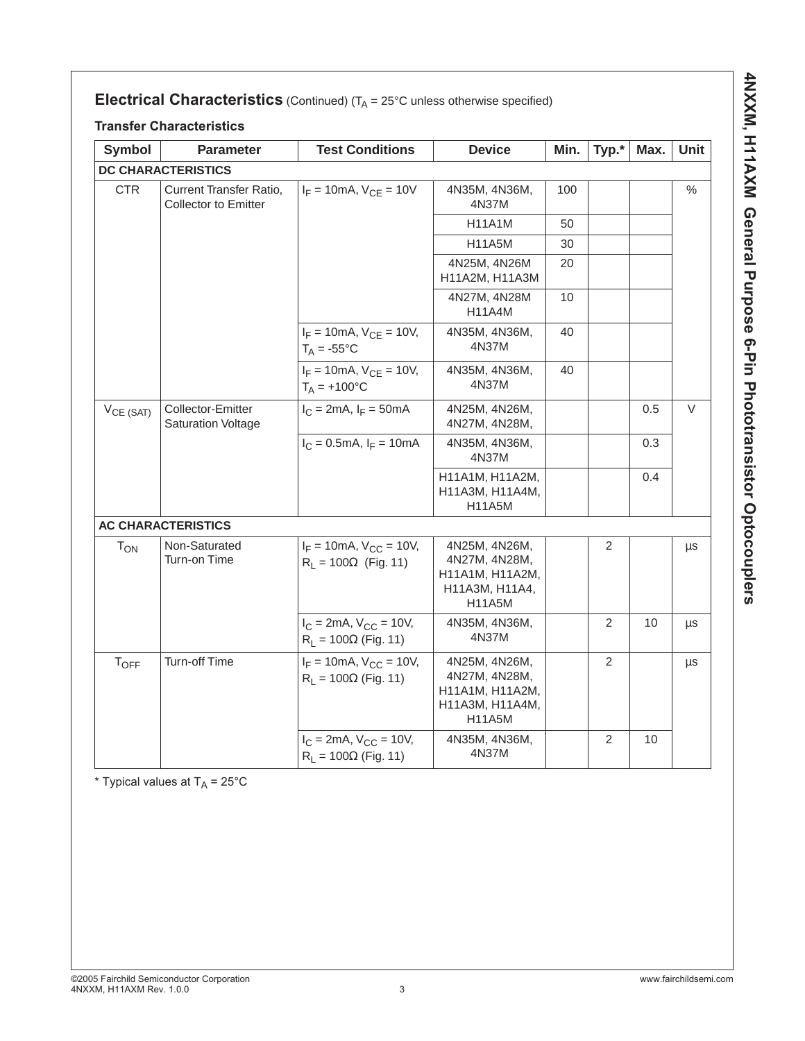# **Electrical Characteristics** (Continued)  $(T_A = 25^\circ C$  unless otherwise specified)

### **Transfer Characteristics**

| <b>Symbol</b>  | <b>Parameter</b>                                              | <b>Test Conditions</b>                                             | <b>Device</b>                                                                         | Min. | Typ.*          | Max. | Unit    |
|----------------|---------------------------------------------------------------|--------------------------------------------------------------------|---------------------------------------------------------------------------------------|------|----------------|------|---------|
|                | <b>DC CHARACTERISTICS</b>                                     |                                                                    |                                                                                       |      |                |      |         |
| <b>CTR</b>     | <b>Current Transfer Ratio,</b><br><b>Collector to Emitter</b> | $I_F = 10 \text{mA}, V_{CF} = 10V$                                 | 4N35M, 4N36M,<br>4N37M                                                                | 100  |                |      | $\%$    |
|                |                                                               |                                                                    | H11A1M                                                                                | 50   |                |      |         |
|                |                                                               |                                                                    | <b>H11A5M</b>                                                                         | 30   |                |      |         |
|                |                                                               |                                                                    | 4N25M, 4N26M<br>H11A2M, H11A3M                                                        | 20   |                |      |         |
|                |                                                               |                                                                    | 4N27M, 4N28M<br><b>H11A4M</b>                                                         | 10   |                |      |         |
|                |                                                               | $I_F = 10 \text{mA}$ , $V_{CE} = 10 V$ ,<br>$T_A = -55^{\circ}C$   | 4N35M, 4N36M,<br>4N37M                                                                | 40   |                |      |         |
|                |                                                               | $I_F = 10 \text{mA}, V_{CF} = 10V,$<br>$T_A = +100^{\circ}C$       | 4N35M, 4N36M,<br>4N37M                                                                | 40   |                |      |         |
| $V_{CE (SAT)}$ | Collector-Emitter<br><b>Saturation Voltage</b>                | $I_C = 2mA$ , $I_F = 50mA$                                         | 4N25M, 4N26M,<br>4N27M, 4N28M,                                                        |      |                | 0.5  | V       |
|                |                                                               | $I_C = 0.5 \text{mA}, I_F = 10 \text{mA}$                          | 4N35M, 4N36M,<br>4N37M                                                                |      |                | 0.3  |         |
|                |                                                               |                                                                    | H11A1M, H11A2M,<br>H11A3M, H11A4M,<br><b>H11A5M</b>                                   |      |                | 0.4  |         |
|                | <b>AC CHARACTERISTICS</b>                                     |                                                                    |                                                                                       |      |                |      |         |
| $T_{ON}$       | Non-Saturated<br>Turn-on Time                                 | $I_F = 10 \text{mA}, V_{CC} = 10V,$<br>$R_L = 100\Omega$ (Fig. 11) | 4N25M, 4N26M,<br>4N27M, 4N28M,<br>H11A1M, H11A2M,<br>H11A3M, H11A4,<br><b>H11A5M</b>  |      | $\overline{2}$ |      | $\mu s$ |
|                |                                                               | $I_C = 2mA$ , $V_{CC} = 10V$ ,<br>$R_L = 100\Omega$ (Fig. 11)      | 4N35M, 4N36M,<br>4N37M                                                                |      | 2              | 10   | μs      |
| $T_{OFF}$      | Turn-off Time                                                 | $I_F = 10$ mA, $V_{CC} = 10V$ ,<br>$R_1 = 100 \Omega$ (Fig. 11)    | 4N25M, 4N26M,<br>4N27M, 4N28M,<br>H11A1M, H11A2M,<br>H11A3M, H11A4M,<br><b>H11A5M</b> |      | 2              |      | μs      |
|                |                                                               | $I_C = 2mA$ , $V_{CC} = 10V$ ,<br>$R_1 = 100 \Omega$ (Fig. 11)     | 4N35M, 4N36M,<br>4N37M                                                                |      | 2              | 10   |         |

\* Typical values at  $T_A = 25^{\circ}$ C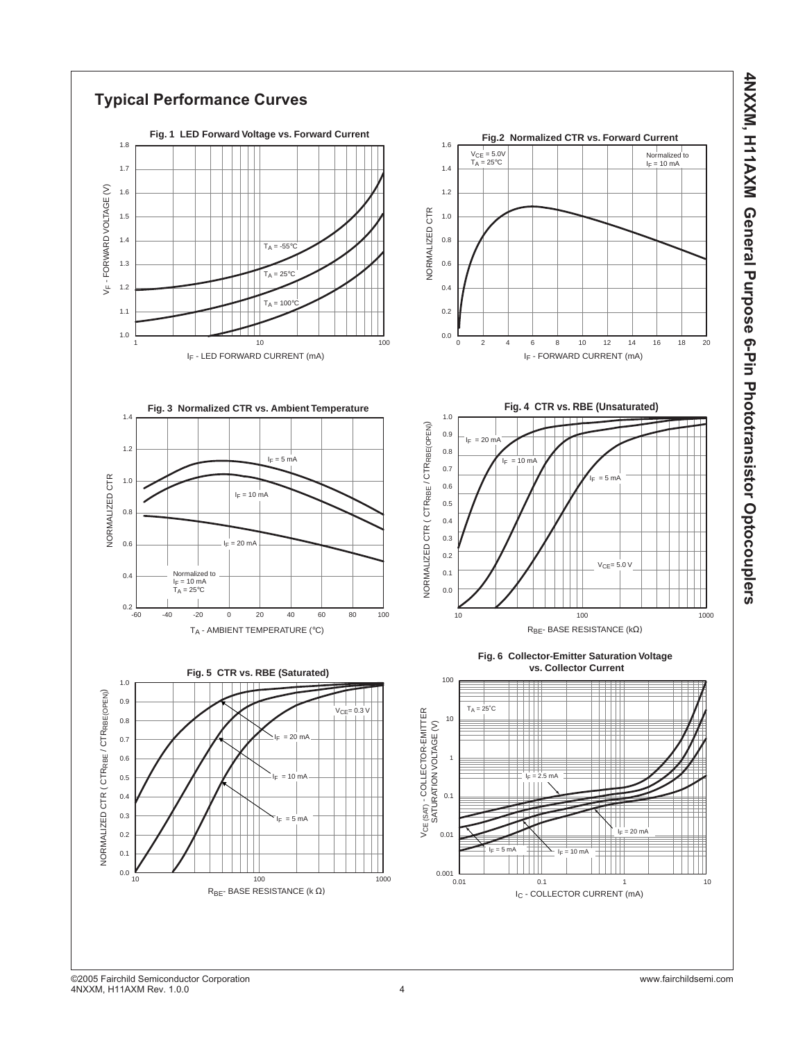

**4NXXM, H11AXM General Purpose 6-Pin Phototransistor Optocouplers**

4NXXM, H11AXM General Purpose 6-Pin Phototransistor Optocouplers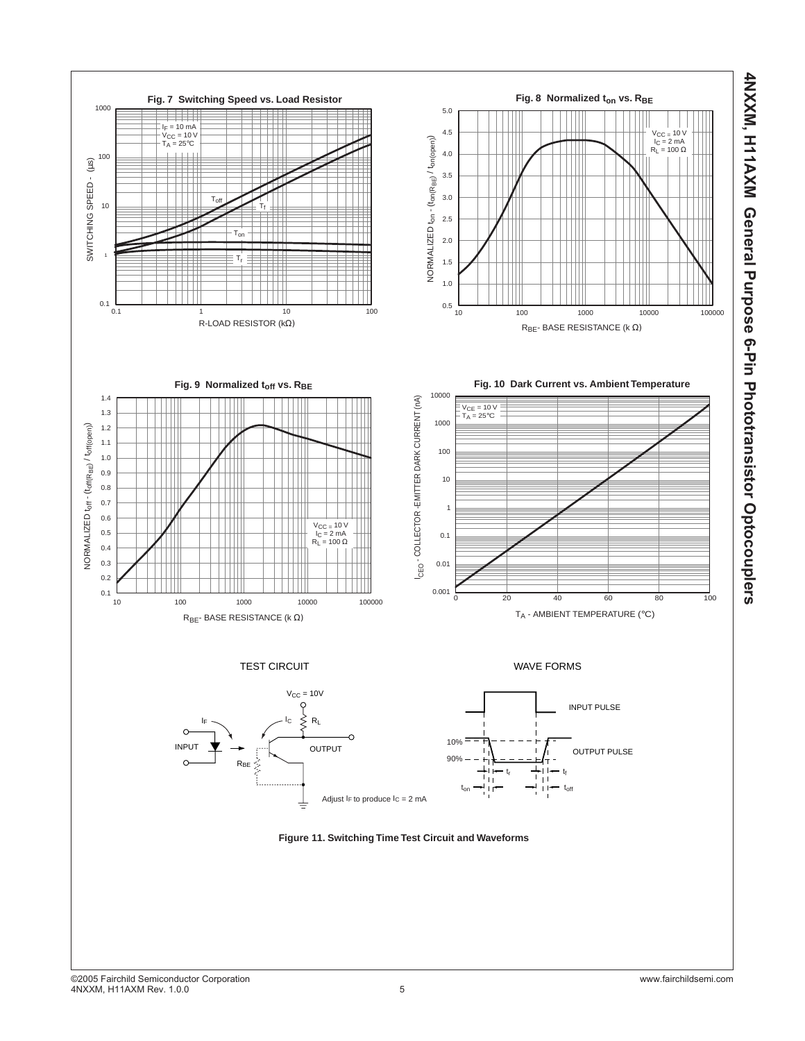

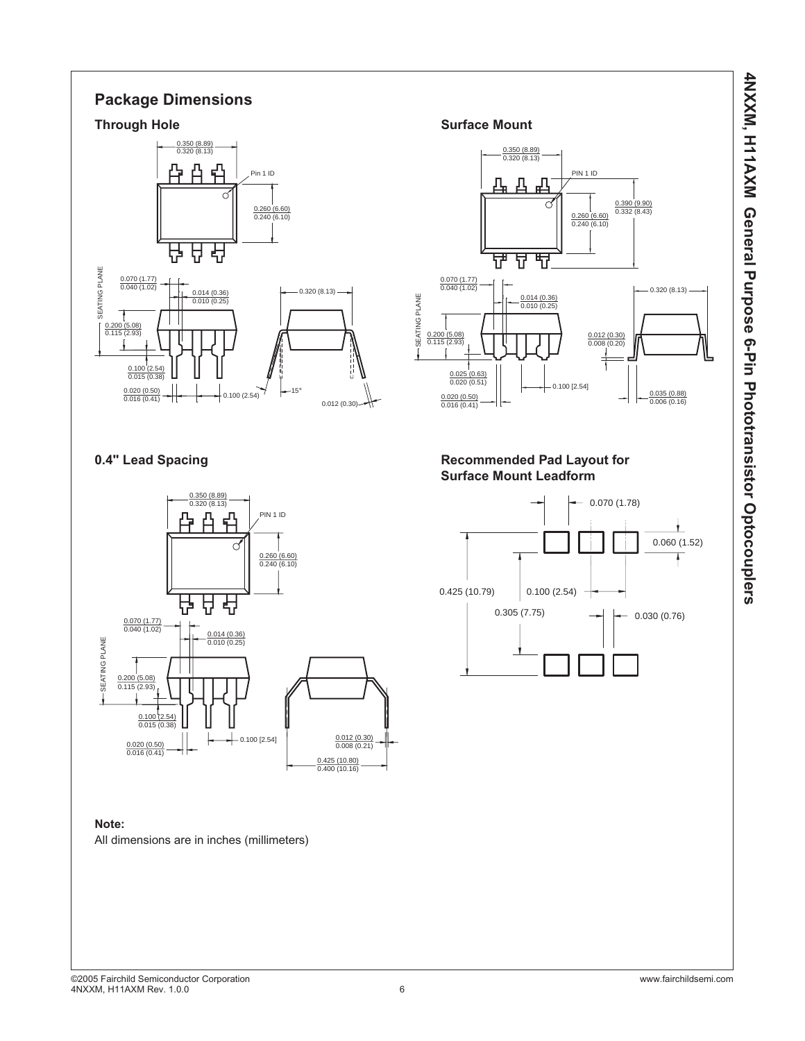4NXXM, H11AXM General Purpose 6-Pin Phototransistor Optocouplers **4NXXM, H11AXM General Purpose 6-Pin Phototransistor Optocouplers**

# **Package Dimensions**

![](_page_6_Figure_2.jpeg)

![](_page_6_Figure_4.jpeg)

### **Note:**

All dimensions are in inches (millimeters)

![](_page_6_Figure_8.jpeg)

## 0.4" Lead Spacing **Commended Pad Layout for Recommended Pad Layout for Surface Mount Leadform**

![](_page_6_Figure_10.jpeg)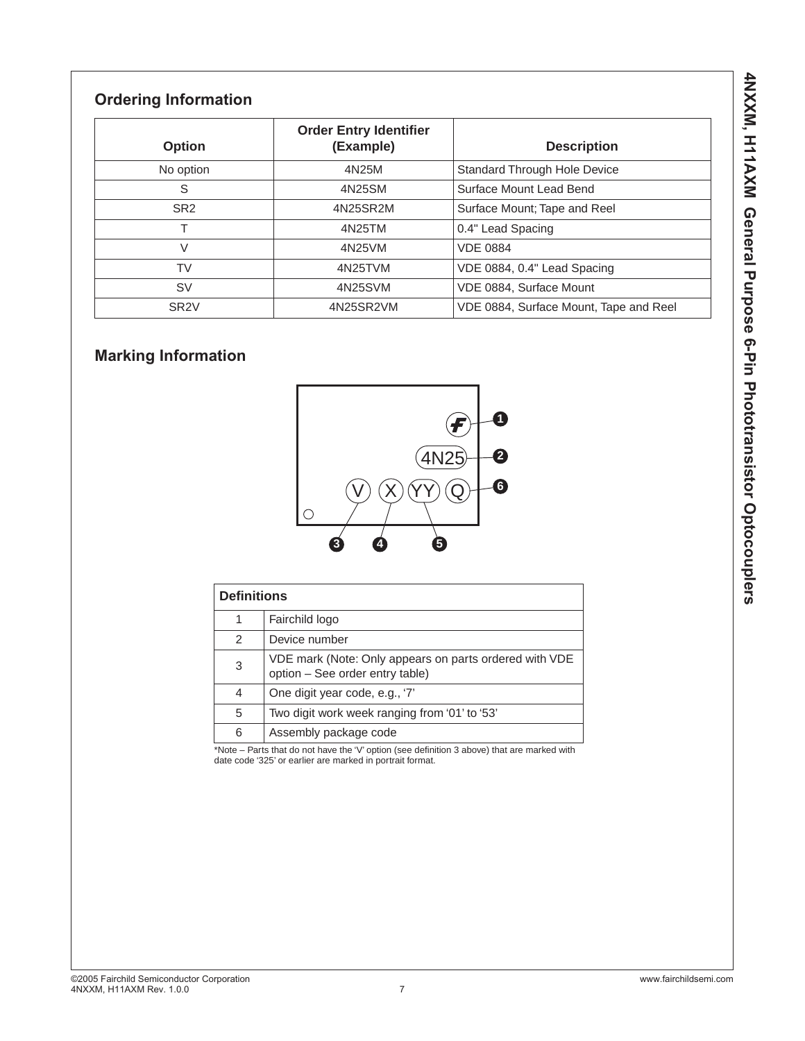# **Ordering Information**

| <b>Option</b>    | <b>Order Entry Identifier</b><br>(Example) | <b>Description</b>                     |
|------------------|--------------------------------------------|----------------------------------------|
| No option        | 4N25M                                      | Standard Through Hole Device           |
| S                | 4N25SM                                     | Surface Mount Lead Bend                |
| SR <sub>2</sub>  | 4N25SR2M                                   | Surface Mount; Tape and Reel           |
|                  | 4N25TM                                     | 0.4" Lead Spacing                      |
| V                | 4N25VM                                     | <b>VDE 0884</b>                        |
| <b>TV</b>        | 4N25TVM                                    | VDE 0884, 0.4" Lead Spacing            |
| <b>SV</b>        | 4N25SVM                                    | VDE 0884, Surface Mount                |
| SR <sub>2V</sub> | 4N25SR2VM                                  | VDE 0884, Surface Mount, Tape and Reel |

# **Marking Information**

![](_page_7_Figure_3.jpeg)

| <b>Definitions</b> |                                                                                           |
|--------------------|-------------------------------------------------------------------------------------------|
| 1                  | Fairchild logo                                                                            |
| $\mathcal{P}$      | Device number                                                                             |
| 3                  | VDE mark (Note: Only appears on parts ordered with VDE<br>option - See order entry table) |
| 4                  | One digit year code, e.g., '7'                                                            |
| 5                  | Two digit work week ranging from '01' to '53'                                             |
| 6                  | Assembly package code                                                                     |

\*Note – Parts that do not have the 'V' option (see definition 3 above) that are marked with date code '325' or earlier are marked in portrait format.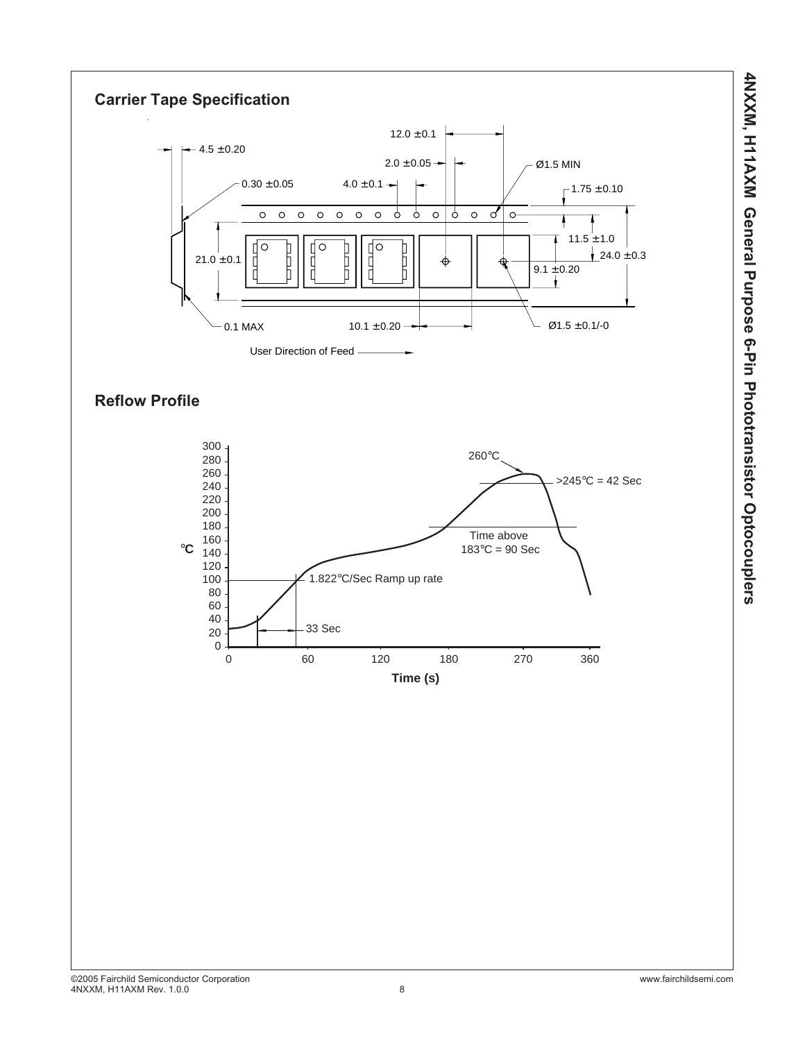![](_page_8_Figure_0.jpeg)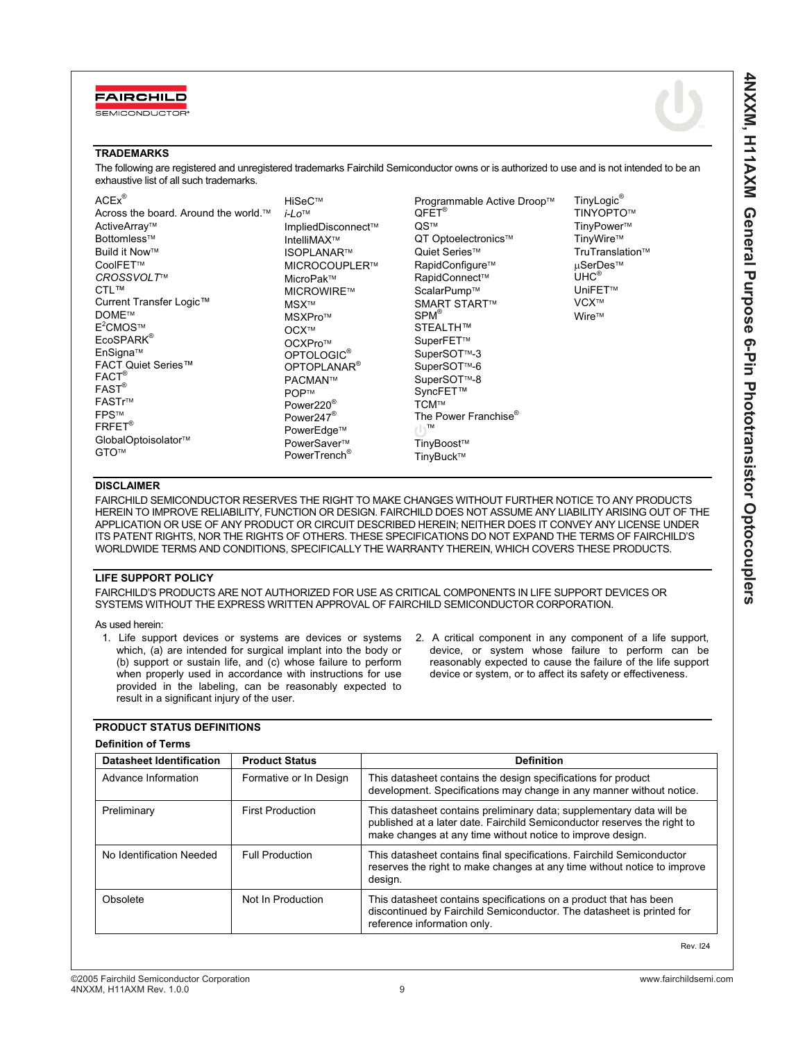![](_page_9_Picture_0.jpeg)

SEMICONDUCTOR

**4NXXM, H11AXM General Purpose 6-Pin Phototransistor Optocouplers**

4NXXXI, H11AXM General Purpose 6-Pin Phototransistor Optocouplers

### **TRADEMARKS**

The following are registered and unregistered trademarks Fairchild Semiconductor owns or is authorized to use and is not intended to be an exhaustive list of all such trademarks.

| $ACEx^{\circledR}$                   | HiSeC™                   | Programmable Active Droop™       | TinyLogic®          |
|--------------------------------------|--------------------------|----------------------------------|---------------------|
| Across the board. Around the world.™ | $i$ -Lo <sup>TM</sup>    | $QFET^{\circledR}$               | TINYOPTO™           |
| ActiveArray™                         | ImpliedDisconnect™       | QS™                              | TinyPower™          |
| Bottomless™                          | IntelliMAX™              | QT Optoelectronics™              | TinyWire™           |
| Build it Now™                        | <b>ISOPLANAR™</b>        | Quiet Series™                    | TruTranslation™     |
| CoolFET™                             | MICROCOUPLER™            | RapidConfigure™                  | µSerDes™            |
| CROSSVOLT™                           | MicroPak™                | RapidConnect™                    | UHC <sup>®</sup>    |
| CTL™                                 | MICROWIRE™               | ScalarPump™                      | UniFET <sup>™</sup> |
| Current Transfer Logic™              | MSX™                     | <b>SMART START™</b>              | VCX™                |
| <b>DOME™</b>                         | MSXPro™                  | $SPM^{\circledR}$                | Wire™               |
| $E^2$ CMOS™                          | OCX™                     | STEALTH™                         |                     |
| EcoSPARK <sup>®</sup>                | OCXPro™                  | SuperFET™                        |                     |
| EnSigna™                             | OPTOLOGIC <sup>®</sup>   | SuperSOT <sup>™-3</sup>          |                     |
| FACT Quiet Series™                   | OPTOPLANAR <sup>®</sup>  | SuperSOT <sup>™</sup> -6         |                     |
| FACT <sup>®</sup>                    | PACMAN™                  | SuperSOT <sup>™-8</sup>          |                     |
| FAST <sup>®</sup>                    | <b>POP™</b>              | SyncFET™                         |                     |
| FASTr™                               | Power220 <sup>®</sup>    | TCM™                             |                     |
| <b>FPS™</b>                          | Power $247^{\circ}$      | The Power Franchise <sup>®</sup> |                     |
| $FREF^{\circledR}$                   | PowerEdge™               | $(1)^{TM}$                       |                     |
| GlobalOptoisolator™                  | PowerSaver™              | TinyBoost™                       |                     |
| GTO™                                 | PowerTrench <sup>®</sup> | TinyBuck™                        |                     |

#### **DISCLAIMER**

FAIRCHILD SEMICONDUCTOR RESERVES THE RIGHT TO MAKE CHANGES WITHOUT FURTHER NOTICE TO ANY PRODUCTS HEREIN TO IMPROVE RELIABILITY, FUNCTION OR DESIGN. FAIRCHILD DOES NOT ASSUME ANY LIABILITY ARISING OUT OF THE APPLICATION OR USE OF ANY PRODUCT OR CIRCUIT DESCRIBED HEREIN; NEITHER DOES IT CONVEY ANY LICENSE UNDER ITS PATENT RIGHTS, NOR THE RIGHTS OF OTHERS. THESE SPECIFICATIONS DO NOT EXPAND THE TERMS OF FAIRCHILD'S WORLDWIDE TERMS AND CONDITIONS, SPECIFICALLY THE WARRANTY THEREIN, WHICH COVERS THESE PRODUCTS.

#### **LIFE SUPPORT POLICY**

**PRODUCT STATUS DEFINITIONS** 

FAIRCHILD'S PRODUCTS ARE NOT AUTHORIZED FOR USE AS CRITICAL COMPONENTS IN LIFE SUPPORT DEVICES OR SYSTEMS WITHOUT THE EXPRESS WRITTEN APPROVAL OF FAIRCHILD SEMICONDUCTOR CORPORATION.

As used herein:

- 1. Life support devices or systems are devices or systems which, (a) are intended for surgical implant into the body or (b) support or sustain life, and (c) whose failure to perform when properly used in accordance with instructions for use provided in the labeling, can be reasonably expected to result in a significant injury of the user.
- 2. A critical component in any component of a life support, device, or system whose failure to perform can be reasonably expected to cause the failure of the life support device or system, or to affect its safety or effectiveness.

| <b>Definition of Terms</b> |                         |                                                                                                                                                                                                                |
|----------------------------|-------------------------|----------------------------------------------------------------------------------------------------------------------------------------------------------------------------------------------------------------|
| Datasheet Identification   | <b>Product Status</b>   | <b>Definition</b>                                                                                                                                                                                              |
| Advance Information        | Formative or In Design  | This datasheet contains the design specifications for product<br>development. Specifications may change in any manner without notice.                                                                          |
| Preliminary                | <b>First Production</b> | This datasheet contains preliminary data; supplementary data will be<br>published at a later date. Fairchild Semiconductor reserves the right to<br>make changes at any time without notice to improve design. |
| No Identification Needed   | <b>Full Production</b>  | This datasheet contains final specifications. Fairchild Semiconductor<br>reserves the right to make changes at any time without notice to improve<br>design.                                                   |
| Obsolete                   | Not In Production       | This datasheet contains specifications on a product that has been<br>discontinued by Fairchild Semiconductor. The datasheet is printed for<br>reference information only.                                      |

#### Rev. I24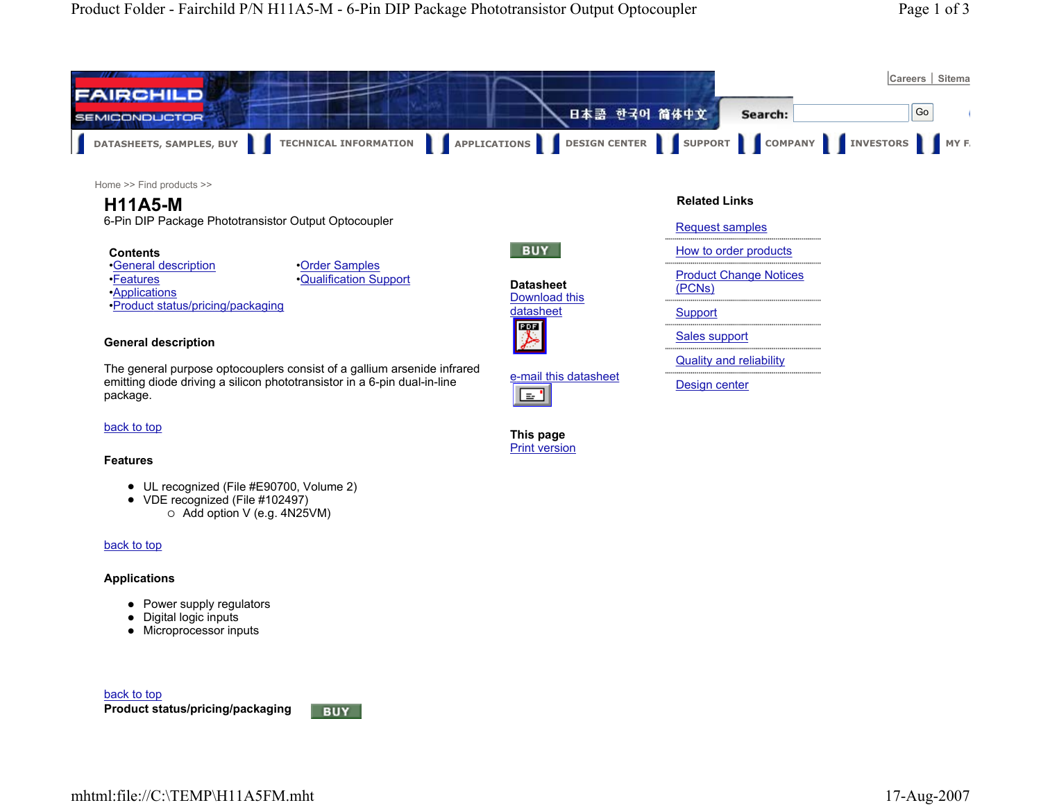![](_page_10_Figure_0.jpeg)

Home >> Find products >>

# **H11A5-M**

6-Pin DIP Package Phototransistor Output Optocoupler

#### **Contents**

•General description •Features•Applications •Product status/pricing/packaging •Order Samples •Qualification Support

# **BUY Datasheet**Download this

![](_page_10_Picture_8.jpeg)

**This page** Print version

l ≊'

e-mail this datasheet

**General description**

The general purpose optocouplers consist of a gallium arsenide infrared emitting diode driving a silicon phototransistor in a 6-pin dual-in-line package.

#### back to top

#### **Features**

- UL recognized (File #E90700, Volume 2)
- VDE recognized (File #102497)  $\circ$  Add option V (e.g. 4N25VM)

#### back to top

#### **Applications**

- Power supply regulators
- $\bullet$  Digital logic inputs
- Microprocessor inputs

![](_page_10_Picture_20.jpeg)

![](_page_10_Picture_21.jpeg)

#### Request samples

- 
- How to order products
- Product Change Notices

# (PCNs)

- **Support**
- 
- Sales support
- Quality and reliability
- 
- Design center

**Product status/pricing/packaging** back to top

![](_page_10_Picture_34.jpeg)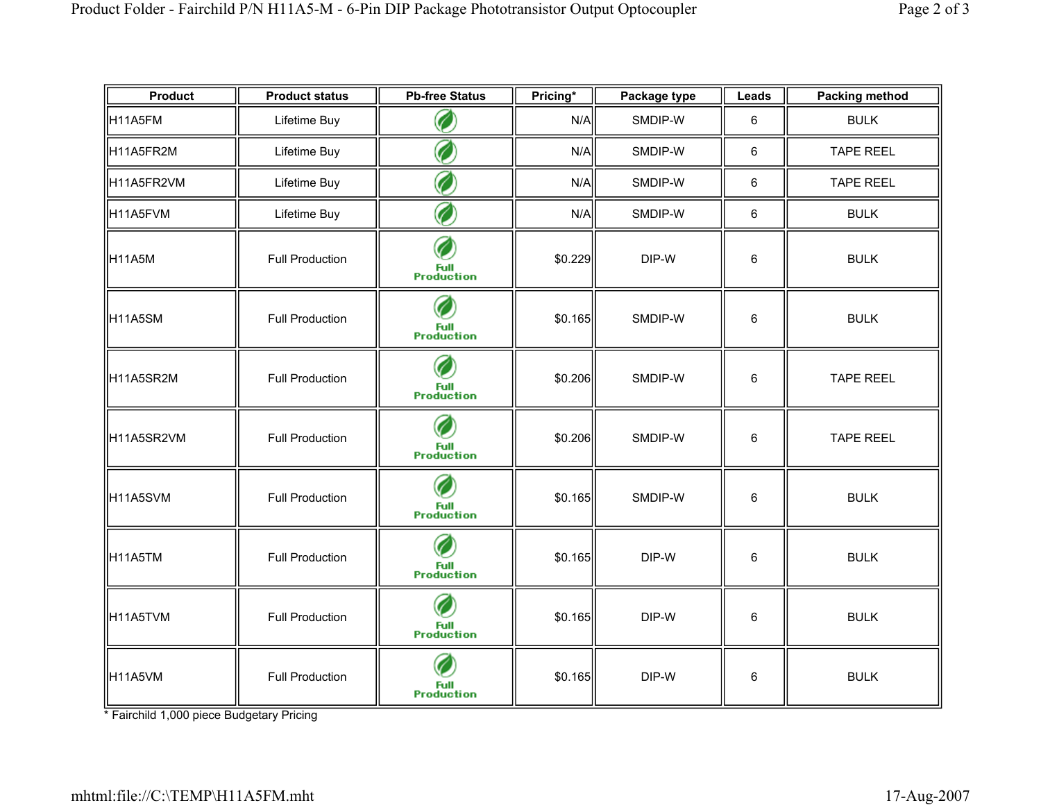| <b>Product</b>     | <b>Product status</b>  | <b>Pb-free Status</b>          | Pricing* | Package type | Leads   | <b>Packing method</b> |
|--------------------|------------------------|--------------------------------|----------|--------------|---------|-----------------------|
| H11A5FM            | Lifetime Buy           | C                              | N/A      | SMDIP-W      | 6       | <b>BULK</b>           |
| H11A5FR2M          | Lifetime Buy           | C                              | N/A      | SMDIP-W      | $\,6\,$ | <b>TAPE REEL</b>      |
| H11A5FR2VM         | Lifetime Buy           | C                              | N/A      | SMDIP-W      | $\,6\,$ | <b>TAPE REEL</b>      |
| H11A5FVM           | Lifetime Buy           | C                              | N/A      | SMDIP-W      | 6       | <b>BULK</b>           |
| H <sub>11A5M</sub> | <b>Full Production</b> | C<br>Full<br>Production        | \$0.229  | DIP-W        | 6       | <b>BULK</b>           |
| H11A5SM            | <b>Full Production</b> | C<br><b>Full</b><br>Production | \$0.165  | SMDIP-W      | 6       | <b>BULK</b>           |
| H11A5SR2M          | <b>Full Production</b> | Full<br>Production             | \$0.206  | SMDIP-W      | 6       | <b>TAPE REEL</b>      |
| H11A5SR2VM         | <b>Full Production</b> | C<br><b>Full</b><br>Production | \$0.206  | SMDIP-W      | 6       | <b>TAPE REEL</b>      |
| H11A5SVM           | <b>Full Production</b> | Full<br>Production             | \$0.165  | SMDIP-W      | $\,6\,$ | <b>BULK</b>           |
| H11A5TM            | <b>Full Production</b> | <b>Full</b><br>Production      | \$0.165  | DIP-W        | 6       | <b>BULK</b>           |
| H11A5TVM           | <b>Full Production</b> | <b>Full</b><br>Production      | \$0.165  | DIP-W        | 6       | <b>BULK</b>           |
| H11A5VM            | <b>Full Production</b> | Full<br>Production             | \$0.165  | DIP-W        | 6       | <b>BULK</b>           |

\* Fairchild 1,000 piece Budgetary Pricing